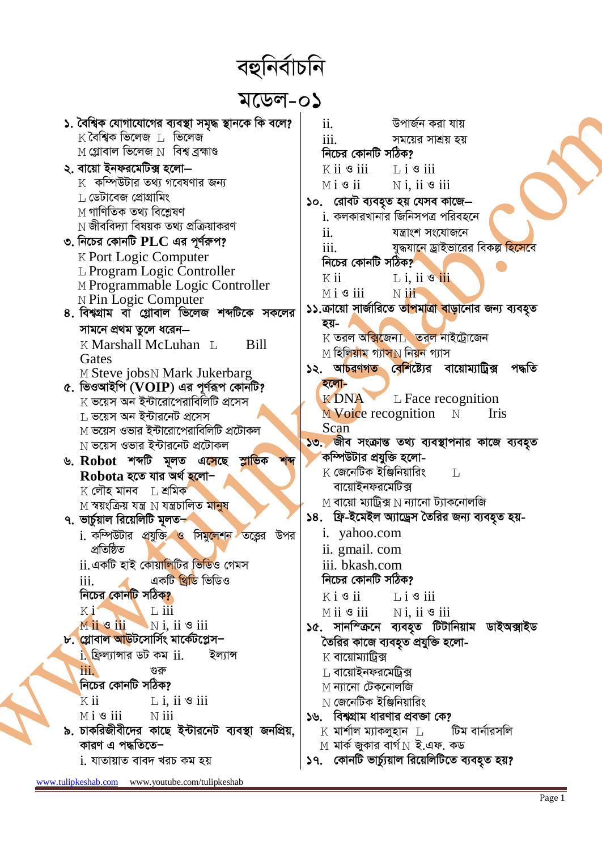বহুনিৰ্বাচনি

*g‡Wj-01*

| ১. বৈশ্বিক যোগাযোগের ব্যবস্থা সমৃদ্ধ স্থানকে কি বলে?                        | ii.  |                                           | উপাৰ্জন করা যায়                                                                |  |
|-----------------------------------------------------------------------------|------|-------------------------------------------|---------------------------------------------------------------------------------|--|
| $K$ বৈশ্বিক ভিলেজ $L$ ভিলেজ                                                 | 111. |                                           | সময়ের সাশ্রয় হয়                                                              |  |
| $\,\mathrm{M}$ গ্লোবাল ভিলেজ $\,\mathrm{N}\,$ বিশ্ব ব্রহ্মাণ্ড              |      | নিচের কোনটি সঠিক?                         |                                                                                 |  |
| ২. বায়ো ইনফরমেটিক্স হলো–                                                   |      | $K$ ii $\mathcal S$ iii                   | $L$ i $\mathcal S$ iii                                                          |  |
| $\,$ কম্পিউটার তথ্য গবেষণার জন্য                                            |      | $M i$ s ii                                | $N$ i, ii $\mathcal S$ iii                                                      |  |
| $\,$ ডেটাবেজ প্রোগ্রামিং                                                    |      |                                           | ১০. রোবট ব্যবহৃত হয় যেসব কাজে—                                                 |  |
| $M$ গাণিতিক তথ্য বিশ্লেষণ                                                   |      |                                           | <u>i</u> . কলকারখানার জিনিসপত্র পরিবহনে                                         |  |
| $\rm N$ জীববিদ্যা বিষয়ক তথ্য প্রক্রিয়াকরণ                                 | ii.  |                                           | যন্ত্ৰাংশ সংযোজনে                                                               |  |
| ৩. নিচের কোনটি $\mathbf{PLC}$ এর পূর্ণরুপ?                                  |      | 111.                                      | যুদ্ধযানে ড্রাইভারের বিকল্প হিসেবে                                              |  |
| <b>K Port Logic Computer</b>                                                |      | নিচের কোনটি সঠিক?                         |                                                                                 |  |
| L Program Logic Controller                                                  |      | K ii                                      | $L$ i, ii $\mathcal{F}$ iii                                                     |  |
| M Programmable Logic Controller                                             |      | $M i$ 3 iii                               | $N$ iii                                                                         |  |
| N Pin Logic Computer                                                        |      |                                           | ১১.ক্রায়ো সার্জারিতে তা <mark>পমাত্রা বাড়া</mark> নোর জন্য ব্যবহৃত            |  |
| ৪. বিশ্বগ্রাম বা গ্লোবাল ভিলেজ শব্দটিকে সকলের                               |      | হয়-                                      |                                                                                 |  |
| সামনে প্রথম তুলে ধরেন—                                                      |      |                                           | $\boldsymbol{\mathrm{K}}$ তরল অক্সিজেন $\boldsymbol{\mathrm{L}}$ তরল নাইট্রোজেন |  |
| K Marshall McLuhan L<br><b>Bill</b>                                         |      |                                           | $\rm{M}$ হিলিয়াম গ্যাস $\rm{N}$ নিয়ন গ্যাস                                    |  |
| Gates<br>M Steve jobsN Mark Jukerbarg                                       |      |                                           | ১২. আ <mark>চরণগত বেশি</mark> ষ্ট্যের বায়োম্যাট্রিক্স<br>পদ্ধতি                |  |
| ৫. ভিওআইপি ( $VOIP$ ) এর পূর্ণরূপ কোনটি?                                    |      | হলো-                                      |                                                                                 |  |
| $\boldsymbol{\mathrm{K}}$ ভয়েস অন ইন্টারোপেরাবিলিটি প্রসেস                 |      | K DNA                                     | $L$ Face recognition                                                            |  |
| $\rm L$ ভয়েস অন ইন্টারনেট প্রসেস                                           |      | M Voice recognition                       | $\mathbb N$<br>Iris                                                             |  |
| $\le$ তয়েস ওভার ইন্টারোপেরাবিলিটি প্রটোকল                                  |      | Scan                                      |                                                                                 |  |
| $\hbox{N}$ ভয়েস ওভার ইন্টারনেট প্রটোকল                                     |      |                                           | ১৩. জীব সংক্রান্ত তথ্য ব্যবস্থাপনার কাজে ব্যবহৃত                                |  |
| ৬. Robot শব্দটি মূলত এসেছে স্লাভিক<br>শব্দ                                  |      | কম্পিউটার প্রযুক্তি হলো-                  |                                                                                 |  |
| $\bf Robota$ হতে যার অর্থ হলো $\mathord{\hspace{1pt}\text{--}\hspace{1pt}}$ |      | $K$ জেনেটিক ইঞ্জিনিয়ারিং                 | $\mathbb{L}$                                                                    |  |
| $K$ লৌহ মানব $\;\;\;\mathbb{L}$ শ্রমিক'                                     |      | বায়োইনফরমেটিক্স                          |                                                                                 |  |
| $\rm M$ স্বয়ংক্রিয় যন্ত্র $\rm N$ যন্ত্রচালিত মানুষ                       |      |                                           | $M$ বায়ো ম্যাট্রিক্স $N$ ন্যানো ট্যাকনোলজি                                     |  |
| ৭. ভার্চুয়াল রিয়েলিটি মূলত≁                                               |      |                                           | ১৪. ফ্রি-ইমেইল অ্যাড্রেস তৈরির জন্য ব্যবহৃত হয়-                                |  |
| i. কম্পিউটার প্রযুক্তি ও সিমু <mark>লেশন</mark><br>উপর<br>তত্ত্বের          |      | i. yahoo.com                              |                                                                                 |  |
| প্ৰতিষ্ঠিত                                                                  |      | ii. gmail. com                            |                                                                                 |  |
| ii. একটি হাই কোয়া <mark>লিটির ভিডিও গেম</mark> স                           |      | iii. bkash.com                            |                                                                                 |  |
| $\overline{\text{iii.}}$<br>একটি <mark>খ্</mark> ৰিডি ভিডিও                 |      | নিচের কোনটি সঠিক?                         |                                                                                 |  |
| নিচের কোন <mark>টি</mark> সঠিক <mark>?</mark>                               |      | $K i$ $\circ$ ii $\qquad$ L i $\circ$ iii |                                                                                 |  |
| Ki<br>$\perp$ iii                                                           |      |                                           | $M$ ii $\bullet$ iii $N$ i, ii $\bullet$ iii                                    |  |
| Mii Sii Ni, ii Siii                                                         |      |                                           | ১৫. সানস্ক্রিনে ব্যবহৃত টিটানিয়াম ডাইঅক্সাইড                                   |  |
| ৮. গ্লোবাল আউটসোর্সিং মার্কেটপ্লেস−                                         |      |                                           | তৈরির কাজে ব্যবহৃত প্রযুক্তি হলো-                                               |  |
| 1. ফ্রিল্যান্সার ডট কম ii. ইল্যান্স                                         |      | $K$ বায়োম্যাট্রিক্স                      |                                                                                 |  |
| <b>TII.</b><br>গুরু                                                         |      | $\,$ া বায়োইনফরমেট্রিক্স                 |                                                                                 |  |
| নিচের কোনটি সঠিক?                                                           |      | $M$ ন্যানো টেকনোলজি                       |                                                                                 |  |
| $Kii$ $L_i, ii \& iii$                                                      |      | $\rm N$ জেনেটিক ইঞ্জিনিয়ারিং             |                                                                                 |  |
| $M i$ 3 iii $N$ iii                                                         |      |                                           | ১৬. বিশ্বগ্রাম ধারণার প্রবক্তা কে?                                              |  |
| ৯. চাকরিজীবীদের কাছে ইন্টারনেট ব্যবস্থা জনপ্রিয়,                           |      |                                           | $K$ মার্শাল ম্যাকলুহান $L$ চিম বার্নারসলি                                       |  |
| কারণ এ পদ্ধতিতে–                                                            |      |                                           | $M$ মার্ক জুকার বার্গ $N$ ই.এফ. কড                                              |  |
| <u>i. যাতায়াত বাবদ খরচ কম হয়</u>                                          |      |                                           | ১৭. কোনটি ভাৰ্চ্যয়াল রিয়েলিটিতে ব্যবহৃত হয়?                                  |  |

www.tulipkeshab.com www.youtube.com/tulipkeshab

P